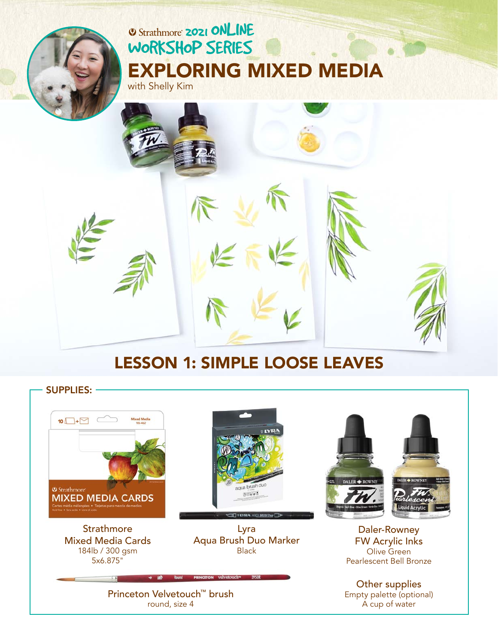# **2021 ONLINE** [WORKSHOP SERIES](https://www.strathmoreartiststudio.com/) [EXPLORING MIXED MEDIA](https://www.strathmoreartiststudio.com/groups/workshop-2-2021/forum/)



## LESSON 1: SIMPLE LOOSE LEAVES

SUPPLIES: **Mixed Medi** 10 $\Box$ + $\Box$ aqua brus <sup>O</sup> Strathmore<sup>®</sup> 88000 **MIXED MEDIA CARDS Strathmore** Lyra Daler-Rowney Aqua Brush Duo Marker FW Acrylic Inks Mixed Media Cards 184lb / 300 gsm BlackOlive Green 5x6.875" Pearlescent Bell Bronze Other supplies [Princeton Velvetouch™ brush](https://www.princetonbrush.com/velvetouch-series-3950-princeton-brush-company-brush-3950/)  Empty palette (optional) round, size 4 A cup of water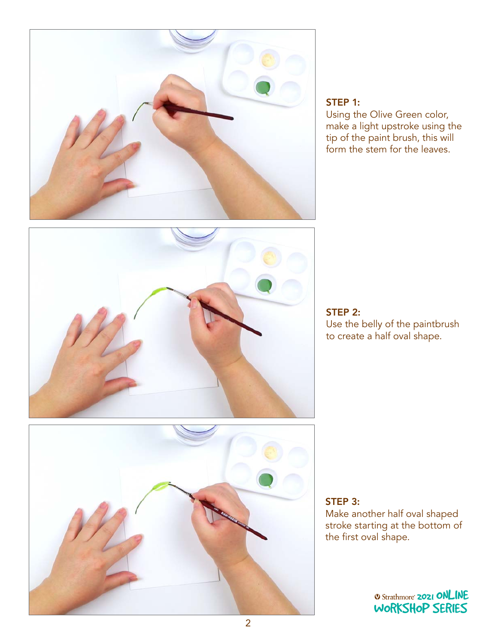

## STEP 1:

Using the Olive Green color, make a light upstroke using the tip of the paint brush, this will form the stem for the leaves.





STEP 2: Use the belly of the paintbrush to create a half oval shape.

STEP 3: Make another half oval shaped stroke starting at the bottom of the first oval shape.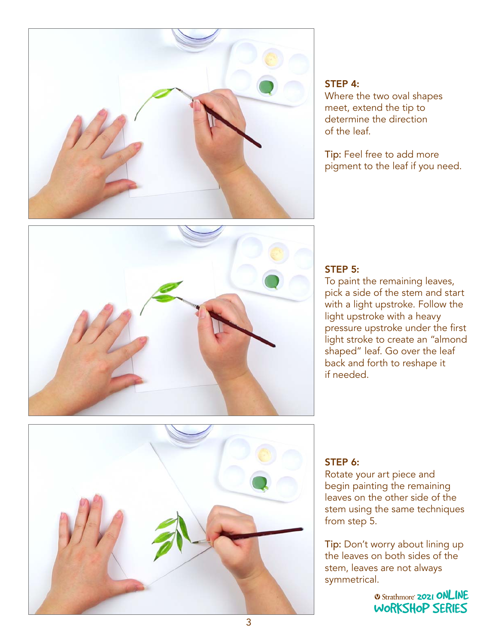

#### STEP 4:

Where the two oval shapes meet, extend the tip to determine the direction of the leaf.

Tip: Feel free to add more pigment to the leaf if you need.



## STEP 5:

To paint the remaining leaves, pick a side of the stem and start with a light upstroke. Follow the light upstroke with a heavy pressure upstroke under the first light stroke to create an "almond shaped" leaf. Go over the leaf back and forth to reshape it if needed.



#### STEP 6:

Rotate your art piece and begin painting the remaining leaves on the other side of the stem using the same techniques from step 5.

Tip: Don't worry about lining up the leaves on both sides of the stem, leaves are not always symmetrical.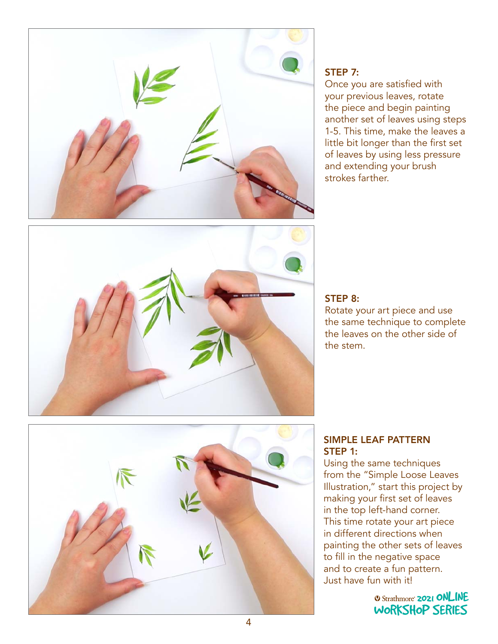

### STEP 7:

Once you are satisfied with your previous leaves, rotate the piece and begin painting another set of leaves using steps 1-5. This time, make the leaves a little bit longer than the first set of leaves by using less pressure and extending your brush strokes farther.



#### STEP 8:

Rotate your art piece and use the same technique to complete the leaves on the other side of the stem.



#### SIMPLE LEAF PATTERN STEP 1:

Using the same techniques from the "Simple Loose Leaves Illustration," start this project by making your first set of leaves in the top left-hand corner. This time rotate your art piece in different directions when m amerent allections when<br>painting the other sets of leaves panting the stretch series of the series and to create a fun pattern. Just have fun with it!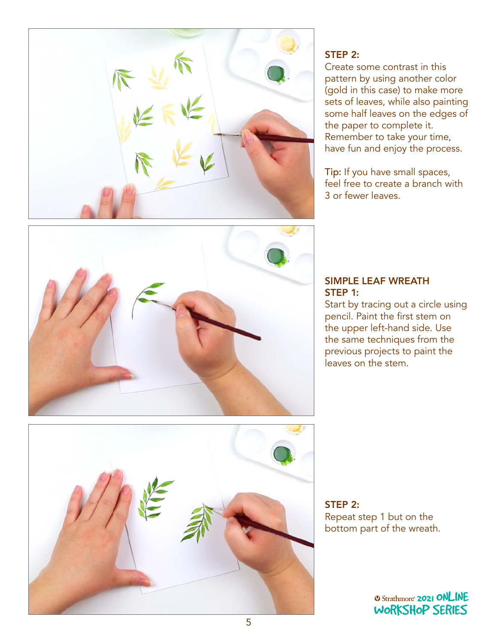

## STEP 2:

Create some contrast in this pattern by using another color (gold in this case) to make more sets of leaves, while also painting some half leaves on the edges of the paper to complete it. Remember to take your time, have fun and enjoy the process.

Tip: If you have small spaces, feel free to create a branch with 3 or fewer leaves.



#### SIMPLE LEAF WREATH STEP 1:

Start by tracing out a circle using pencil. Paint the first stem on the upper left-hand side. Use the same techniques from the previous projects to paint the leaves on the stem.



STEP 2: Repeat step 1 but on the bottom part of the wreath.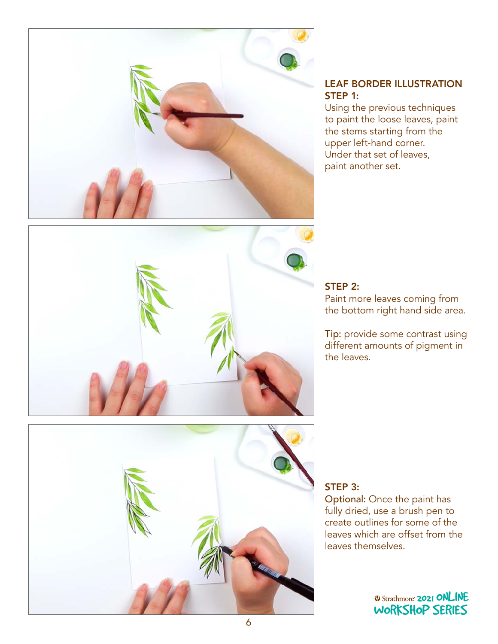

#### LEAF BORDER ILLUSTRATION STEP 1:

Using the previous techniques to paint the loose leaves, paint the stems starting from the upper left-hand corner. Under that set of leaves, paint another set.



## STEP 2:

Paint more leaves coming from the bottom right hand side area.

Tip: provide some contrast using different amounts of pigment in the leaves.



## STEP 3:

Optional: Once the paint has fully dried, use a brush pen to create outlines for some of the leaves which are offset from the<br>leaves themselves. leaves themselves.  $\mathbb{R}$  series series series series series series series series series series series series series series series series series series series series series series series series series series series series series series se